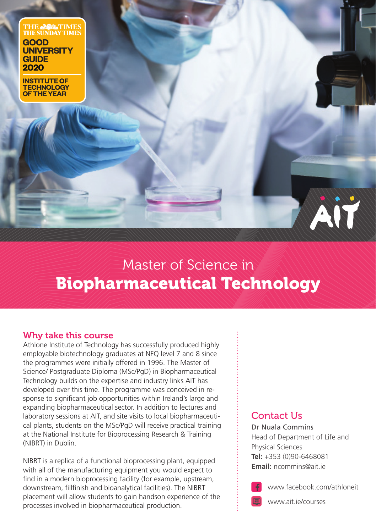**THE AND TIMES**<br>THE SUNDAY TIMES **GOOD UNIVERSITY GUIDE 2020**

**INSTITUTE OF TECHNOLOGY OF THE YEAR**

# Master of Science in Biopharmaceutical Technology

# Why take this course

Athlone Institute of Technology has successfully produced highly employable biotechnology graduates at NFQ level 7 and 8 since the programmes were initially offered in 1996. The Master of Science/ Postgraduate Diploma (MSc/PgD) in Biopharmaceutical Technology builds on the expertise and industry links AIT has developed over this time. The programme was conceived in response to significant job opportunities within Ireland's large and expanding biopharmaceutical sector. In addition to lectures and laboratory sessions at AIT, and site visits to local biopharmaceutical plants, students on the MSc/PgD will receive practical training at the National Institute for Bioprocessing Research & Training (NIBRT) in Dublin.

NIBRT is a replica of a functional bioprocessing plant, equipped with all of the manufacturing equipment you would expect to find in a modern bioprocessing facility (for example, upstream, downstream, fillfinish and bioanalytical facilities). The NIBRT placement will allow students to gain handson experience of the processes involved in biopharmaceutical production.

# Contact I ls

Dr Nuala Commins Head of Department of Life and Physical Sciences **Tel:** +353 (0)90-6468081 **Email:** ncommins@ait.ie



www.facebook.com/athloneit

AIT



www.ait.ie/courses